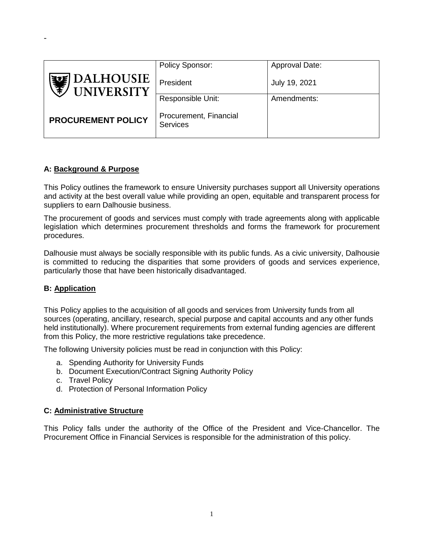|                                | Policy Sponsor:                           | Approval Date: |
|--------------------------------|-------------------------------------------|----------------|
| DALHOUSIE<br><b>UNIVERSITY</b> | President                                 | July 19, 2021  |
|                                | Responsible Unit:                         | Amendments:    |
| <b>PROCUREMENT POLICY</b>      | Procurement, Financial<br><b>Services</b> |                |

## **A: Background & Purpose**

-

This Policy outlines the framework to ensure University purchases support all University operations and activity at the best overall value while providing an open, equitable and transparent process for suppliers to earn Dalhousie business.

The procurement of goods and services must comply with trade agreements along with applicable legislation which determines procurement thresholds and forms the framework for procurement procedures.

Dalhousie must always be socially responsible with its public funds. As a civic university, Dalhousie is committed to reducing the disparities that some providers of goods and services experience, particularly those that have been historically disadvantaged.

## **B: Application**

This Policy applies to the acquisition of all goods and services from University funds from all sources (operating, ancillary, research, special purpose and capital accounts and any other funds held institutionally). Where procurement requirements from external funding agencies are different from this Policy, the more restrictive regulations take precedence.

The following University policies must be read in conjunction with this Policy:

- a. Spending Authority for University Funds
- b. Document Execution/Contract Signing Authority Policy
- c. Travel Policy
- d. Protection of Personal Information Policy

#### **C: Administrative Structure**

This Policy falls under the authority of the Office of the President and Vice-Chancellor. The Procurement Office in Financial Services is responsible for the administration of this policy.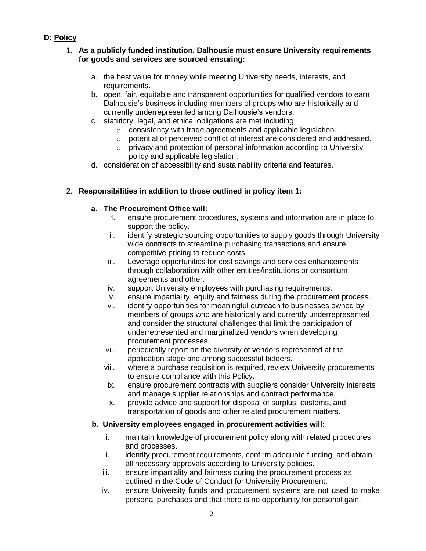# **D: Policy**

## 1. **As a publicly funded institution, Dalhousie must ensure University requirements for goods and services are sourced ensuring:**

- a. the best value for money while meeting University needs, interests, and requirements.
- b. open, fair, equitable and transparent opportunities for qualified vendors to earn Dalhousie's business including members of groups who are historically and currently underrepresented among Dalhousie's vendors.
- c. statutory, legal, and ethical obligations are met including:
	- o consistency with trade agreements and applicable legislation.
	- o potential or perceived conflict of interest are considered and addressed.
	- o privacy and protection of personal information according to University policy and applicable legislation.
- d. consideration of accessibility and sustainability criteria and features.

## 2. **Responsibilities in addition to those outlined in policy item 1:**

## **a. The Procurement Office will:**

- i. ensure procurement procedures, systems and information are in place to support the policy.
- ii. identify strategic sourcing opportunities to supply goods through University wide contracts to streamline purchasing transactions and ensure competitive pricing to reduce costs.
- iii. Leverage opportunities for cost savings and services enhancements through collaboration with other entities/institutions or consortium agreements and other.
- iv. support University employees with purchasing requirements.
- v. ensure impartiality, equity and fairness during the procurement process.
- vi. identify opportunities for meaningful outreach to businesses owned by members of groups who are historically and currently underrepresented and consider the structural challenges that limit the participation of underrepresented and marginalized vendors when developing procurement processes.
- vii. periodically report on the diversity of vendors represented at the application stage and among successful bidders.
- viii. where a purchase requisition is required, review University procurements to ensure compliance with this Policy.
- ix. ensure procurement contracts with suppliers consider University interests and manage supplier relationships and contract performance.
- x. provide advice and support for disposal of surplus, customs, and transportation of goods and other related procurement matters.

## **b. University employees engaged in procurement activities will:**

- i. maintain knowledge of procurement policy along with related procedures and processes.
- ii. identify procurement requirements, confirm adequate funding, and obtain all necessary approvals according to University policies.
- iii. ensure impartiality and fairness during the procurement process as outlined in the Code of Conduct for University Procurement.
- iv. ensure University funds and procurement systems are not used to make personal purchases and that there is no opportunity for personal gain.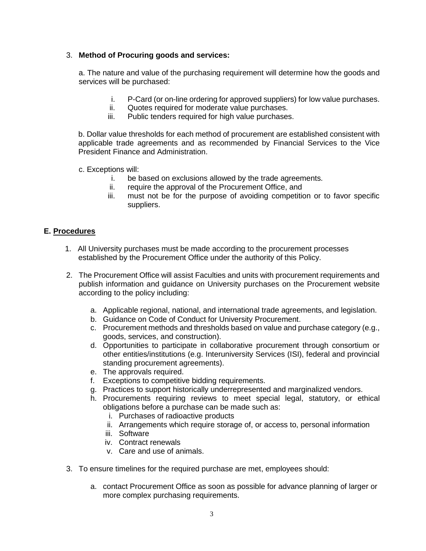## 3. **Method of Procuring goods and services:**

a. The nature and value of the purchasing requirement will determine how the goods and services will be purchased:

- i. P-Card (or on-line ordering for approved suppliers) for low value purchases.
- ii. Quotes required for moderate value purchases.
- iii. Public tenders required for high value purchases.

b. Dollar value thresholds for each method of procurement are established consistent with applicable trade agreements and as recommended by Financial Services to the Vice President Finance and Administration.

- c. Exceptions will:
	- i. be based on exclusions allowed by the trade agreements.
	- ii. require the approval of the Procurement Office, and
	- iii. must not be for the purpose of avoiding competition or to favor specific suppliers.

## **E. Procedures**

- 1. All University purchases must be made according to the procurement processes established by the Procurement Office under the authority of this Policy.
- 2. The Procurement Office will assist Faculties and units with procurement requirements and publish information and guidance on University purchases on the Procurement website according to the policy including:
	- a. Applicable regional, national, and international trade agreements, and legislation.
	- b. Guidance on Code of Conduct for University Procurement.
	- c. Procurement methods and thresholds based on value and purchase category (e.g., goods, services, and construction).
	- d. Opportunities to participate in collaborative procurement through consortium or other entities/institutions (e.g. Interuniversity Services (ISI), federal and provincial standing procurement agreements).
	- e. The approvals required.
	- f. Exceptions to competitive bidding requirements.
	- g. Practices to support historically underrepresented and marginalized vendors.
	- h. Procurements requiring reviews to meet special legal, statutory, or ethical obligations before a purchase can be made such as:
		- i. Purchases of radioactive products
		- ii. Arrangements which require storage of, or access to, personal information
		- iii. Software
		- iv. Contract renewals
		- v. Care and use of animals.
- 3. To ensure timelines for the required purchase are met, employees should:
	- a. contact Procurement Office as soon as possible for advance planning of larger or more complex purchasing requirements.